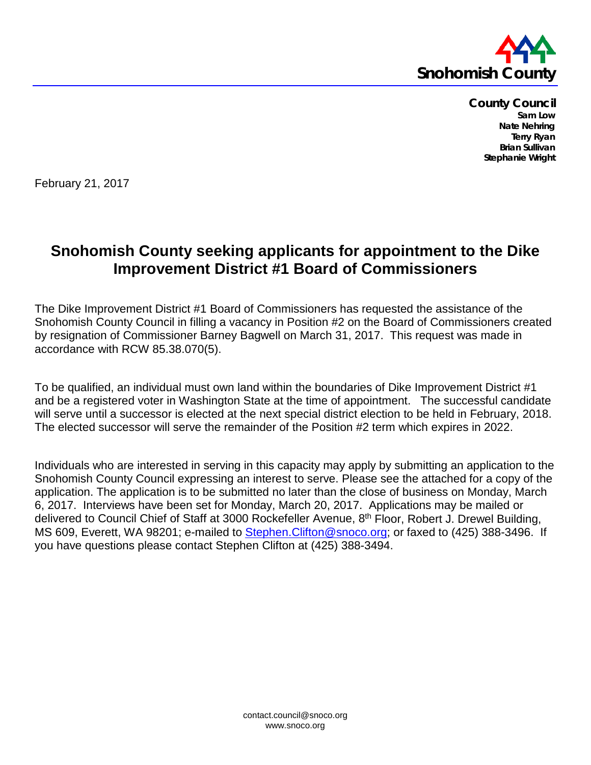

**County Council Sam Low Nate Nehring Terry Ryan Brian Sullivan Stephanie Wright**

February 21, 2017

## **Snohomish County seeking applicants for appointment to the Dike Improvement District #1 Board of Commissioners**

The Dike Improvement District #1 Board of Commissioners has requested the assistance of the Snohomish County Council in filling a vacancy in Position #2 on the Board of Commissioners created by resignation of Commissioner Barney Bagwell on March 31, 2017. This request was made in accordance with RCW 85.38.070(5).

To be qualified, an individual must own land within the boundaries of Dike Improvement District #1 and be a registered voter in Washington State at the time of appointment. The successful candidate will serve until a successor is elected at the next special district election to be held in February, 2018. The elected successor will serve the remainder of the Position #2 term which expires in 2022.

Individuals who are interested in serving in this capacity may apply by submitting an application to the Snohomish County Council expressing an interest to serve. Please see the attached for a copy of the application. The application is to be submitted no later than the close of business on Monday, March 6, 2017. Interviews have been set for Monday, March 20, 2017. Applications may be mailed or delivered to Council Chief of Staff at 3000 Rockefeller Avenue, 8<sup>th</sup> Floor, Robert J. Drewel Building, MS 609, Everett, WA 98201; e-mailed to Stephen. Clifton@snoco.org; or faxed to (425) 388-3496. If you have questions please contact Stephen Clifton at (425) 388-3494.